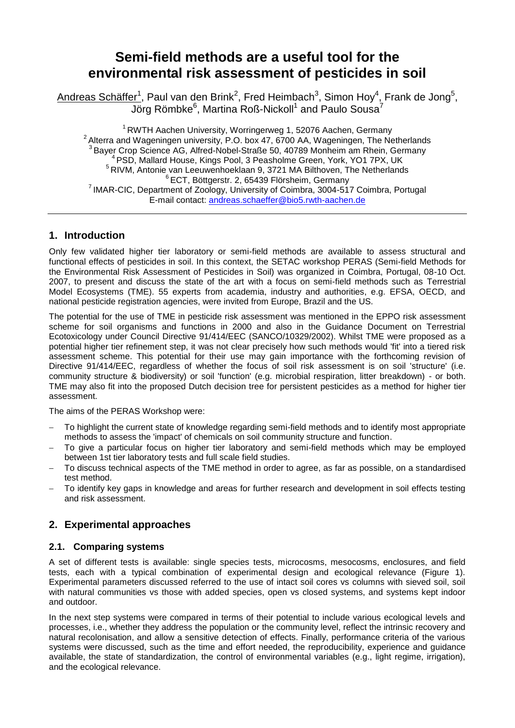# **Semi-field methods are a useful tool for the environmental risk assessment of pesticides in soil**

 $\Delta$ ndreas Schäffer $^1$ , Paul van den Brink $^2$ , Fred Heimbach $^3$ , Simon Hoy $^4$ , Frank de Jong $^5$ ,  $\overline{\mathsf{J\ddot{o}}}$ rg Römbke $^6$ , Martina Roß-Nickoll $^1$  and Paulo Sousa $^7$ 

 $1$  RWTH Aachen University, Worringerweg 1, 52076 Aachen, Germany  $2$  Alterra and Wageningen university, P.O. box 47, 6700 AA, Wageningen, The Netherlands <sup>3</sup> Bayer Crop Science AG, Alfred-Nobel-Straße 50, 40789 Monheim am Rhein, Germany <sup>4</sup> PSD, Mallard House, Kings Pool, 3 Peasholme Green, York, YO1 7PX, UK <sup>5</sup> RIVM, Antonie van Leeuwenhoeklaan 9, 3721 MA Bilthoven, The Netherlands 6 ECT, Böttgerstr. 2, 65439 Flörsheim, Germany <sup>7</sup> IMAR-CIC, Department of Zoology, University of Coimbra, 3004-517 Coimbra, Portugal E-mail contact: [andreas.schaeffer@bio5.rwth-aachen.de](mailto:andreas.schaeffer@bio5.rwth-aachen.de)

## **1. Introduction**

Only few validated higher tier laboratory or semi-field methods are available to assess structural and functional effects of pesticides in soil. In this context, the SETAC workshop PERAS (Semi-field Methods for the Environmental Risk Assessment of Pesticides in Soil) was organized in Coimbra, Portugal, 08-10 Oct. 2007, to present and discuss the state of the art with a focus on semi-field methods such as Terrestrial Model Ecosystems (TME). 55 experts from academia, industry and authorities, e.g. EFSA, OECD, and national pesticide registration agencies, were invited from Europe, Brazil and the US.

The potential for the use of TME in pesticide risk assessment was mentioned in the EPPO risk assessment scheme for soil organisms and functions in 2000 and also in the Guidance Document on Terrestrial Ecotoxicology under Council Directive 91/414/EEC (SANCO/10329/2002). Whilst TME were proposed as a potential higher tier refinement step, it was not clear precisely how such methods would 'fit' into a tiered risk assessment scheme. This potential for their use may gain importance with the forthcoming revision of Directive 91/414/EEC, regardless of whether the focus of soil risk assessment is on soil 'structure' (i.e. community structure & biodiversity) or soil 'function' (e.g. microbial respiration, litter breakdown) - or both. TME may also fit into the proposed Dutch decision tree for persistent pesticides as a method for higher tier assessment.

The aims of the PERAS Workshop were:

- To highlight the current state of knowledge regarding semi-field methods and to identify most appropriate methods to assess the 'impact' of chemicals on soil community structure and function.
- To give a particular focus on higher tier laboratory and semi-field methods which may be employed between 1st tier laboratory tests and full scale field studies.
- To discuss technical aspects of the TME method in order to agree, as far as possible, on a standardised test method.
- To identify key gaps in knowledge and areas for further research and development in soil effects testing and risk assessment.

# **2. Experimental approaches**

## **2.1. Comparing systems**

A set of different tests is available: single species tests, microcosms, mesocosms, enclosures, and field tests, each with a typical combination of experimental design and ecological relevance (Figure 1). Experimental parameters discussed referred to the use of intact soil cores vs columns with sieved soil, soil with natural communities vs those with added species, open vs closed systems, and systems kept indoor and outdoor.

In the next step systems were compared in terms of their potential to include various ecological levels and processes, i.e., whether they address the population or the community level, reflect the intrinsic recovery and natural recolonisation, and allow a sensitive detection of effects. Finally, performance criteria of the various systems were discussed, such as the time and effort needed, the reproducibility, experience and guidance available, the state of standardization, the control of environmental variables (e.g., light regime, irrigation), and the ecological relevance.